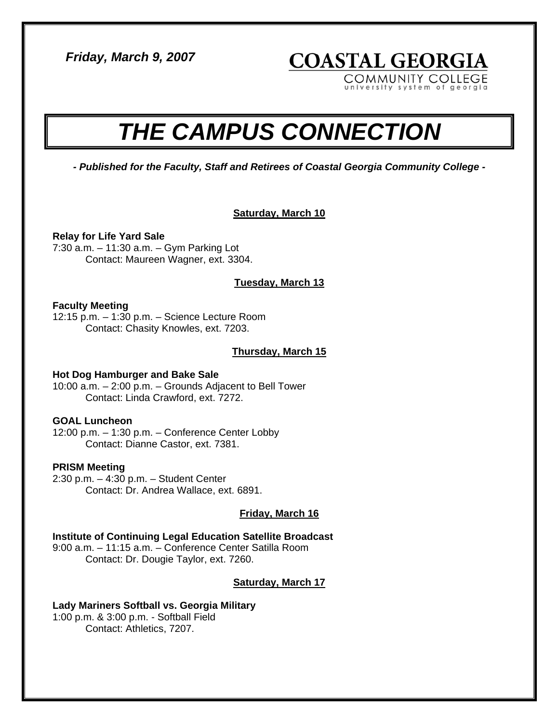*Friday, March 9, 2007* 

university system of georgia

**COASTAL GEORGIA** 

COMMUNITY COLLEGE

# *THE CAMPUS CONNECTION*

*- Published for the Faculty, Staff and Retirees of Coastal Georgia Community College -* 

# **Saturday, March 10**

## **Relay for Life Yard Sale**

7:30 a.m. – 11:30 a.m. – Gym Parking Lot Contact: Maureen Wagner, ext. 3304.

## **Tuesday, March 13**

#### **Faculty Meeting**

12:15 p.m. – 1:30 p.m. – Science Lecture Room Contact: Chasity Knowles, ext. 7203.

#### **Thursday, March 15**

#### **Hot Dog Hamburger and Bake Sale**

10:00 a.m. – 2:00 p.m. – Grounds Adjacent to Bell Tower Contact: Linda Crawford, ext. 7272.

# **GOAL Luncheon**

12:00 p.m. – 1:30 p.m. – Conference Center Lobby Contact: Dianne Castor, ext. 7381.

#### **PRISM Meeting**

2:30 p.m. – 4:30 p.m. – Student Center Contact: Dr. Andrea Wallace, ext. 6891.

#### **Friday, March 16**

# **Institute of Continuing Legal Education Satellite Broadcast**

9:00 a.m. – 11:15 a.m. – Conference Center Satilla Room Contact: Dr. Dougie Taylor, ext. 7260.

# **Saturday, March 17**

#### **Lady Mariners Softball vs. Georgia Military**

1:00 p.m. & 3:00 p.m. - Softball Field Contact: Athletics, 7207.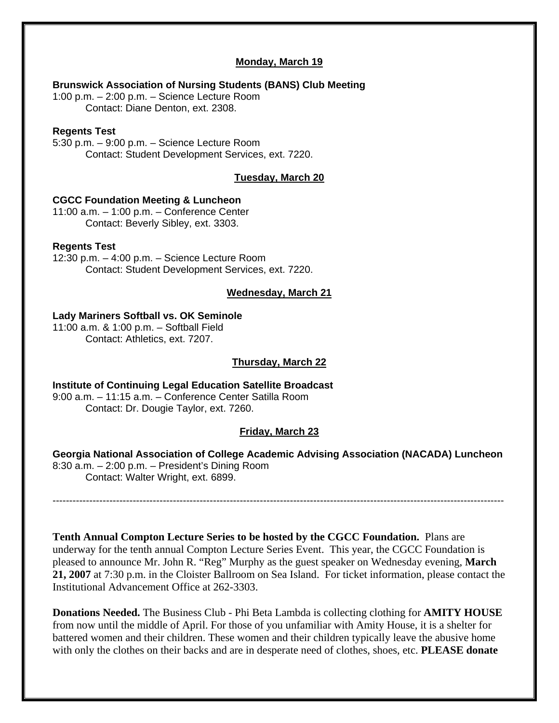#### **Monday, March 19**

#### **Brunswick Association of Nursing Students (BANS) Club Meeting**

1:00 p.m. – 2:00 p.m. – Science Lecture Room Contact: Diane Denton, ext. 2308.

#### **Regents Test**

5:30 p.m. – 9:00 p.m. – Science Lecture Room Contact: Student Development Services, ext. 7220.

#### **Tuesday, March 20**

#### **CGCC Foundation Meeting & Luncheon**

11:00 a.m. – 1:00 p.m. – Conference Center Contact: Beverly Sibley, ext. 3303.

#### **Regents Test**

12:30 p.m. – 4:00 p.m. – Science Lecture Room Contact: Student Development Services, ext. 7220.

#### **Wednesday, March 21**

#### **Lady Mariners Softball vs. OK Seminole**

11:00 a.m. & 1:00 p.m. – Softball Field Contact: Athletics, ext. 7207.

#### **Thursday, March 22**

**Institute of Continuing Legal Education Satellite Broadcast**  9:00 a.m. – 11:15 a.m. – Conference Center Satilla Room Contact: Dr. Dougie Taylor, ext. 7260.

#### **Friday, March 23**

**Georgia National Association of College Academic Advising Association (NACADA) Luncheon**  8:30 a.m. – 2:00 p.m. – President's Dining Room Contact: Walter Wright, ext. 6899.

---------------------------------------------------------------------------------------------------------------------------------------

**Tenth Annual Compton Lecture Series to be hosted by the CGCC Foundation.** Plans are underway for the tenth annual Compton Lecture Series Event. This year, the CGCC Foundation is pleased to announce Mr. John R. "Reg" Murphy as the guest speaker on Wednesday evening, **March 21, 2007** at 7:30 p.m. in the Cloister Ballroom on Sea Island. For ticket information, please contact the Institutional Advancement Office at 262-3303.

**Donations Needed.** The Business Club - Phi Beta Lambda is collecting clothing for **AMITY HOUSE**  from now until the middle of April. For those of you unfamiliar with Amity House, it is a shelter for battered women and their children. These women and their children typically leave the abusive home with only the clothes on their backs and are in desperate need of clothes, shoes, etc. **PLEASE donate**